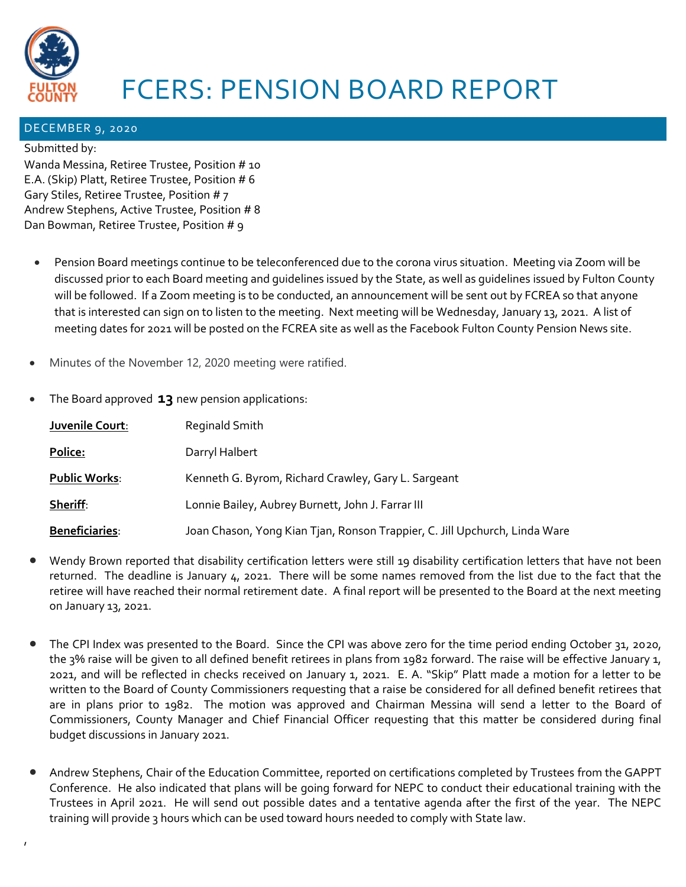

## FCERS: PENSION BOARD REPORT

## DECEMBER 9, 2020

## Submitted by:

,

Wanda Messina, Retiree Trustee, Position # 10 E.A. (Skip) Platt, Retiree Trustee, Position # 6 Gary Stiles, Retiree Trustee, Position # 7 Andrew Stephens, Active Trustee, Position # 8 Dan Bowman, Retiree Trustee, Position # 9

- Pension Board meetings continue to be teleconferenced due to the corona virus situation. Meeting via Zoom will be discussed prior to each Board meeting and guidelines issued by the State, as well as guidelines issued by Fulton County will be followed. If a Zoom meeting is to be conducted, an announcement will be sent out by FCREA so that anyone that is interested can sign on to listen to the meeting. Next meeting will be Wednesday, January 13, 2021. A list of meeting dates for 2021 will be posted on the FCREA site as well as the Facebook Fulton County Pension News site.
- Minutes of the November 12, 2020 meeting were ratified.
- The Board approved **13** new pension applications:

| Juvenile Court:       | Reginald Smith                                                             |
|-----------------------|----------------------------------------------------------------------------|
| Police:               | Darryl Halbert                                                             |
| <b>Public Works:</b>  | Kenneth G. Byrom, Richard Crawley, Gary L. Sargeant                        |
| Sheriff:              | Lonnie Bailey, Aubrey Burnett, John J. Farrar III                          |
| <b>Beneficiaries:</b> | Joan Chason, Yong Kian Tjan, Ronson Trappier, C. Jill Upchurch, Linda Ware |

- Wendy Brown reported that disability certification letters were still 19 disability certification letters that have not been returned. The deadline is January 4, 2021. There will be some names removed from the list due to the fact that the retiree will have reached their normal retirement date. A final report will be presented to the Board at the next meeting on January 13, 2021.
- The CPI Index was presented to the Board. Since the CPI was above zero for the time period ending October 31, 2020, the 3% raise will be given to all defined benefit retirees in plans from 1982 forward. The raise will be effective January 1, 2021, and will be reflected in checks received on January 1, 2021. E. A. "Skip" Platt made a motion for a letter to be written to the Board of County Commissioners requesting that a raise be considered for all defined benefit retirees that are in plans prior to 1982. The motion was approved and Chairman Messina will send a letter to the Board of Commissioners, County Manager and Chief Financial Officer requesting that this matter be considered during final budget discussions in January 2021.
- Andrew Stephens, Chair of the Education Committee, reported on certifications completed by Trustees from the GAPPT Conference. He also indicated that plans will be going forward for NEPC to conduct their educational training with the Trustees in April 2021. He will send out possible dates and a tentative agenda after the first of the year. The NEPC training will provide 3 hours which can be used toward hours needed to comply with State law.